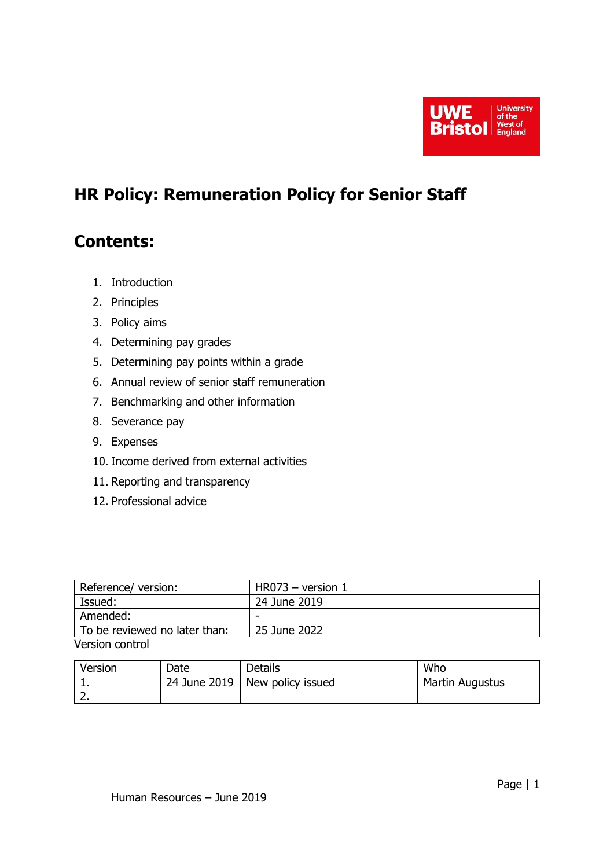

# **HR Policy: Remuneration Policy for Senior Staff**

## **Contents:**

- 1. Introduction
- 2. Principles
- 3. Policy aims
- 4. Determining pay grades
- 5. Determining pay points within a grade
- 6. Annual review of senior staff remuneration
- 7. Benchmarking and other information
- 8. Severance pay
- 9. Expenses
- 10. Income derived from external activities
- 11. Reporting and transparency
- 12. Professional advice

| Reference/version:            | $HR073 - version 1$ |
|-------------------------------|---------------------|
| Issued:                       | 24 June 2019        |
| Amended:                      | -                   |
| To be reviewed no later than: | 25 June 2022        |
| Version control               |                     |

| Version | Date         | Details           | Who             |
|---------|--------------|-------------------|-----------------|
|         | 24 June 2019 | New policy issued | Martin Augustus |
| ∽<br>z. |              |                   |                 |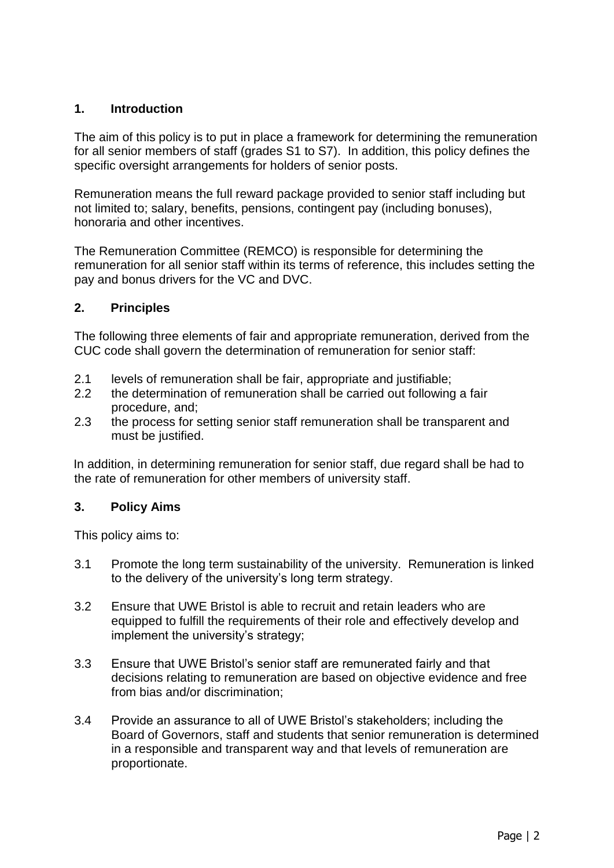## **1. Introduction**

The aim of this policy is to put in place a framework for determining the remuneration for all senior members of staff (grades S1 to S7). In addition, this policy defines the specific oversight arrangements for holders of senior posts.

Remuneration means the full reward package provided to senior staff including but not limited to; salary, benefits, pensions, contingent pay (including bonuses), honoraria and other incentives.

The Remuneration Committee (REMCO) is responsible for determining the remuneration for all senior staff within its terms of reference, this includes setting the pay and bonus drivers for the VC and DVC.

#### **2. Principles**

The following three elements of fair and appropriate remuneration, derived from the CUC code shall govern the determination of remuneration for senior staff:

- 2.1 levels of remuneration shall be fair, appropriate and justifiable;
- 2.2 the determination of remuneration shall be carried out following a fair procedure, and;
- 2.3 the process for setting senior staff remuneration shall be transparent and must be justified.

In addition, in determining remuneration for senior staff, due regard shall be had to the rate of remuneration for other members of university staff.

#### **3. Policy Aims**

This policy aims to:

- 3.1 Promote the long term sustainability of the university. Remuneration is linked to the delivery of the university's long term strategy.
- 3.2 Ensure that UWE Bristol is able to recruit and retain leaders who are equipped to fulfill the requirements of their role and effectively develop and implement the university's strategy;
- 3.3 Ensure that UWE Bristol's senior staff are remunerated fairly and that decisions relating to remuneration are based on objective evidence and free from bias and/or discrimination;
- 3.4 Provide an assurance to all of UWE Bristol's stakeholders; including the Board of Governors, staff and students that senior remuneration is determined in a responsible and transparent way and that levels of remuneration are proportionate.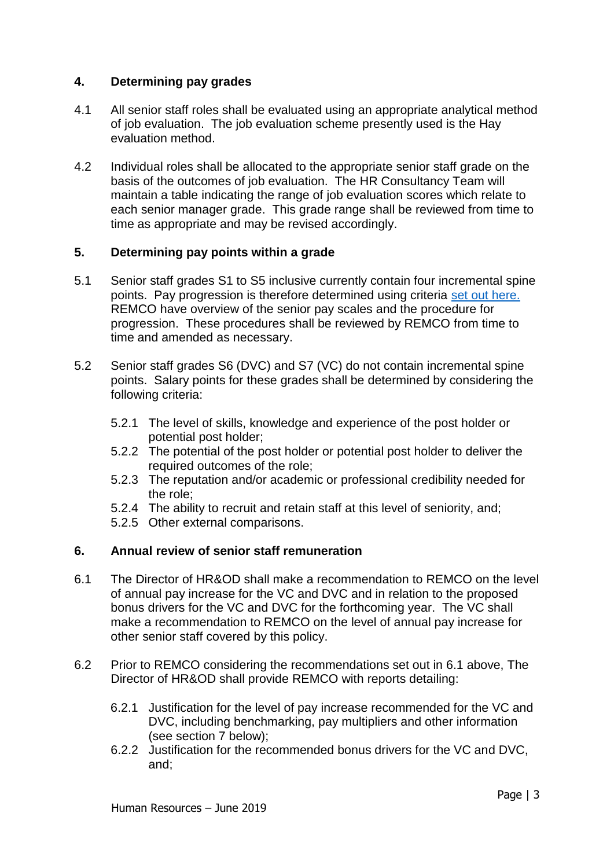#### **4. Determining pay grades**

- 4.1 All senior staff roles shall be evaluated using an appropriate analytical method of job evaluation. The job evaluation scheme presently used is the Hay evaluation method.
- 4.2 Individual roles shall be allocated to the appropriate senior staff grade on the basis of the outcomes of job evaluation. The HR Consultancy Team will maintain a table indicating the range of job evaluation scores which relate to each senior manager grade. This grade range shall be reviewed from time to time as appropriate and may be revised accordingly.

#### **5. Determining pay points within a grade**

- 5.1 Senior staff grades S1 to S5 inclusive currently contain four incremental spine points. Pay progression is therefore determined using criteria [set out here.](https://docs.uwe.ac.uk/ou/hr/IntranetContent/Snr%20Staff%20Rate%20for%20Intranet%20Aug%202018.pdf)  REMCO have overview of the senior pay scales and the procedure for progression. These procedures shall be reviewed by REMCO from time to time and amended as necessary.
- 5.2 Senior staff grades S6 (DVC) and S7 (VC) do not contain incremental spine points. Salary points for these grades shall be determined by considering the following criteria:
	- 5.2.1 The level of skills, knowledge and experience of the post holder or potential post holder;
	- 5.2.2 The potential of the post holder or potential post holder to deliver the required outcomes of the role;
	- 5.2.3 The reputation and/or academic or professional credibility needed for the role;
	- 5.2.4 The ability to recruit and retain staff at this level of seniority, and;
	- 5.2.5 Other external comparisons.

#### **6. Annual review of senior staff remuneration**

- 6.1 The Director of HR&OD shall make a recommendation to REMCO on the level of annual pay increase for the VC and DVC and in relation to the proposed bonus drivers for the VC and DVC for the forthcoming year. The VC shall make a recommendation to REMCO on the level of annual pay increase for other senior staff covered by this policy.
- 6.2 Prior to REMCO considering the recommendations set out in 6.1 above, The Director of HR&OD shall provide REMCO with reports detailing:
	- 6.2.1 Justification for the level of pay increase recommended for the VC and DVC, including benchmarking, pay multipliers and other information (see section 7 below);
	- 6.2.2 Justification for the recommended bonus drivers for the VC and DVC, and;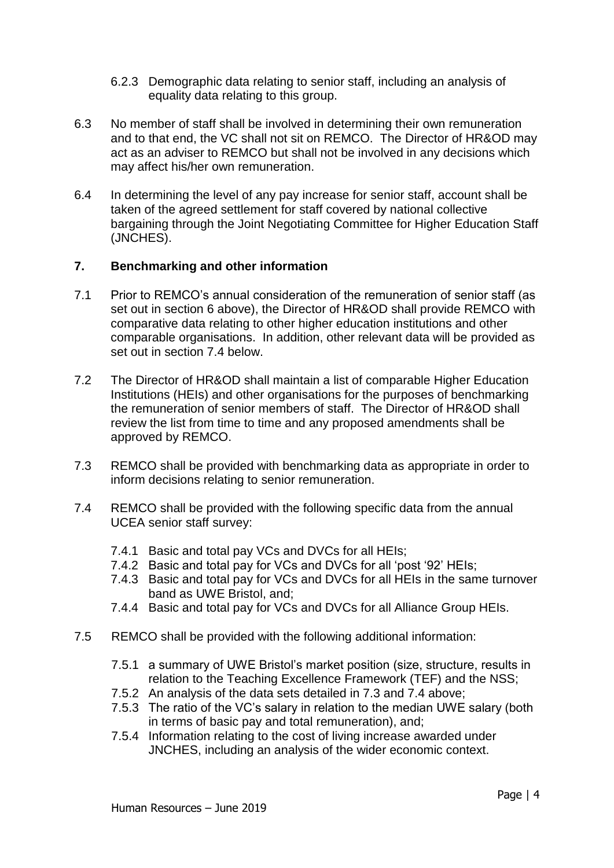- 6.2.3 Demographic data relating to senior staff, including an analysis of equality data relating to this group.
- 6.3 No member of staff shall be involved in determining their own remuneration and to that end, the VC shall not sit on REMCO. The Director of HR&OD may act as an adviser to REMCO but shall not be involved in any decisions which may affect his/her own remuneration.
- 6.4 In determining the level of any pay increase for senior staff, account shall be taken of the agreed settlement for staff covered by national collective bargaining through the Joint Negotiating Committee for Higher Education Staff (JNCHES).

## **7. Benchmarking and other information**

- 7.1 Prior to REMCO's annual consideration of the remuneration of senior staff (as set out in section 6 above), the Director of HR&OD shall provide REMCO with comparative data relating to other higher education institutions and other comparable organisations. In addition, other relevant data will be provided as set out in section 7.4 below.
- 7.2 The Director of HR&OD shall maintain a list of comparable Higher Education Institutions (HEIs) and other organisations for the purposes of benchmarking the remuneration of senior members of staff. The Director of HR&OD shall review the list from time to time and any proposed amendments shall be approved by REMCO.
- 7.3 REMCO shall be provided with benchmarking data as appropriate in order to inform decisions relating to senior remuneration.
- 7.4 REMCO shall be provided with the following specific data from the annual UCEA senior staff survey:
	- 7.4.1 Basic and total pay VCs and DVCs for all HEIs;
	- 7.4.2 Basic and total pay for VCs and DVCs for all 'post '92' HEIs;
	- 7.4.3 Basic and total pay for VCs and DVCs for all HEIs in the same turnover band as UWE Bristol, and;
	- 7.4.4 Basic and total pay for VCs and DVCs for all Alliance Group HEIs.
- 7.5 REMCO shall be provided with the following additional information:
	- 7.5.1 a summary of UWE Bristol's market position (size, structure, results in relation to the Teaching Excellence Framework (TEF) and the NSS;
	- 7.5.2 An analysis of the data sets detailed in 7.3 and 7.4 above;
	- 7.5.3 The ratio of the VC's salary in relation to the median UWE salary (both in terms of basic pay and total remuneration), and;
	- 7.5.4 Information relating to the cost of living increase awarded under JNCHES, including an analysis of the wider economic context.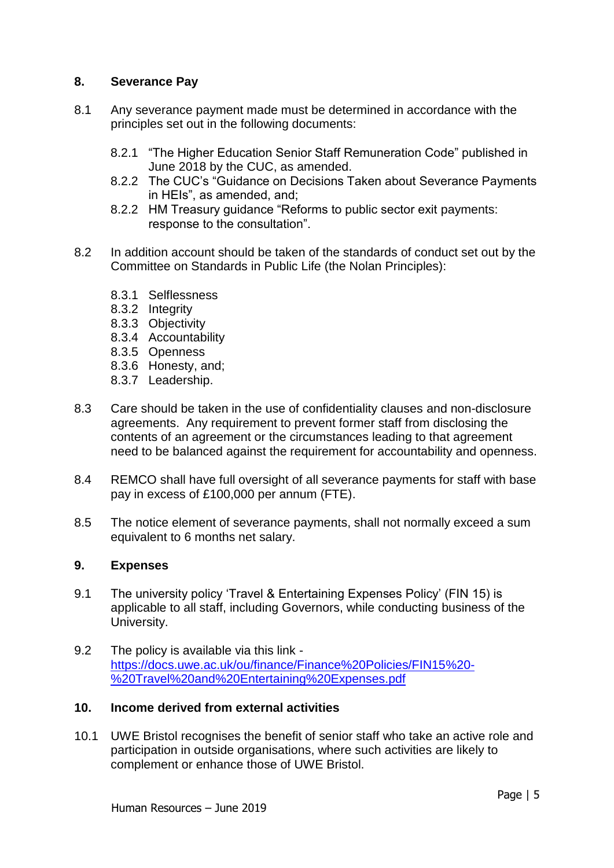#### **8. Severance Pay**

- 8.1 Any severance payment made must be determined in accordance with the principles set out in the following documents:
	- 8.2.1 "The Higher Education Senior Staff Remuneration Code" published in June 2018 by the CUC, as amended.
	- 8.2.2 The CUC's "Guidance on Decisions Taken about Severance Payments in HEIs", as amended, and;
	- 8.2.2 HM Treasury guidance "Reforms to public sector exit payments: response to the consultation".
- 8.2 In addition account should be taken of the standards of conduct set out by the Committee on Standards in Public Life (the Nolan Principles):
	- 8.3.1 Selflessness
	- 8.3.2 Integrity
	- 8.3.3 Objectivity
	- 8.3.4 Accountability
	- 8.3.5 Openness
	- 8.3.6 Honesty, and;
	- 8.3.7 Leadership.
- 8.3 Care should be taken in the use of confidentiality clauses and non-disclosure agreements. Any requirement to prevent former staff from disclosing the contents of an agreement or the circumstances leading to that agreement need to be balanced against the requirement for accountability and openness.
- 8.4 REMCO shall have full oversight of all severance payments for staff with base pay in excess of £100,000 per annum (FTE).
- 8.5 The notice element of severance payments, shall not normally exceed a sum equivalent to 6 months net salary.

#### **9. Expenses**

- 9.1 The university policy 'Travel & Entertaining Expenses Policy' (FIN 15) is applicable to all staff, including Governors, while conducting business of the University.
- 9.2 The policy is available via this link [https://docs.uwe.ac.uk/ou/finance/Finance%20Policies/FIN15%20-](https://docs.uwe.ac.uk/ou/finance/Finance%20Policies/FIN15%20-%20Travel%20and%20Entertaining%20Expenses.pdf) [%20Travel%20and%20Entertaining%20Expenses.pdf](https://docs.uwe.ac.uk/ou/finance/Finance%20Policies/FIN15%20-%20Travel%20and%20Entertaining%20Expenses.pdf)

#### **10. Income derived from external activities**

10.1 UWE Bristol recognises the benefit of senior staff who take an active role and participation in outside organisations, where such activities are likely to complement or enhance those of UWE Bristol.